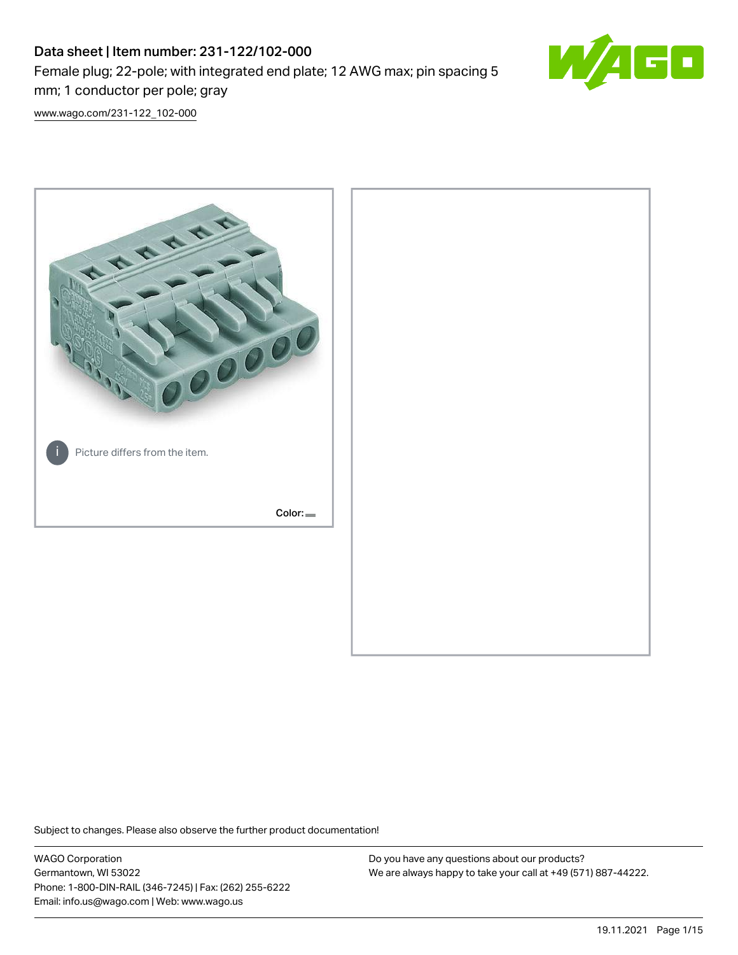# Data sheet | Item number: 231-122/102-000 Female plug; 22-pole; with integrated end plate; 12 AWG max; pin spacing 5 mm; 1 conductor per pole; gray



[www.wago.com/231-122\\_102-000](http://www.wago.com/231-122_102-000)



Subject to changes. Please also observe the further product documentation!

WAGO Corporation Germantown, WI 53022 Phone: 1-800-DIN-RAIL (346-7245) | Fax: (262) 255-6222 Email: info.us@wago.com | Web: www.wago.us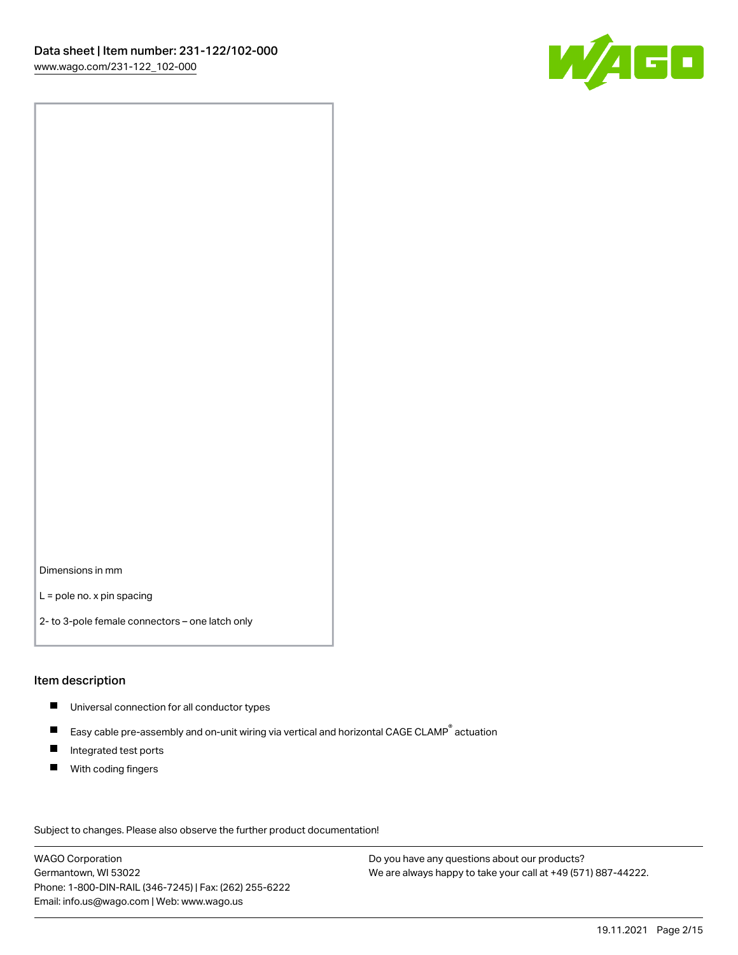

Dimensions in mm

L = pole no. x pin spacing

2- to 3-pole female connectors – one latch only

#### Item description

- **Universal connection for all conductor types**
- Easy cable pre-assembly and on-unit wiring via vertical and horizontal CAGE CLAMP<sup>®</sup> actuation  $\blacksquare$
- $\blacksquare$ Integrated test ports
- $\blacksquare$ With coding fingers

Subject to changes. Please also observe the further product documentation! Data

WAGO Corporation Germantown, WI 53022 Phone: 1-800-DIN-RAIL (346-7245) | Fax: (262) 255-6222 Email: info.us@wago.com | Web: www.wago.us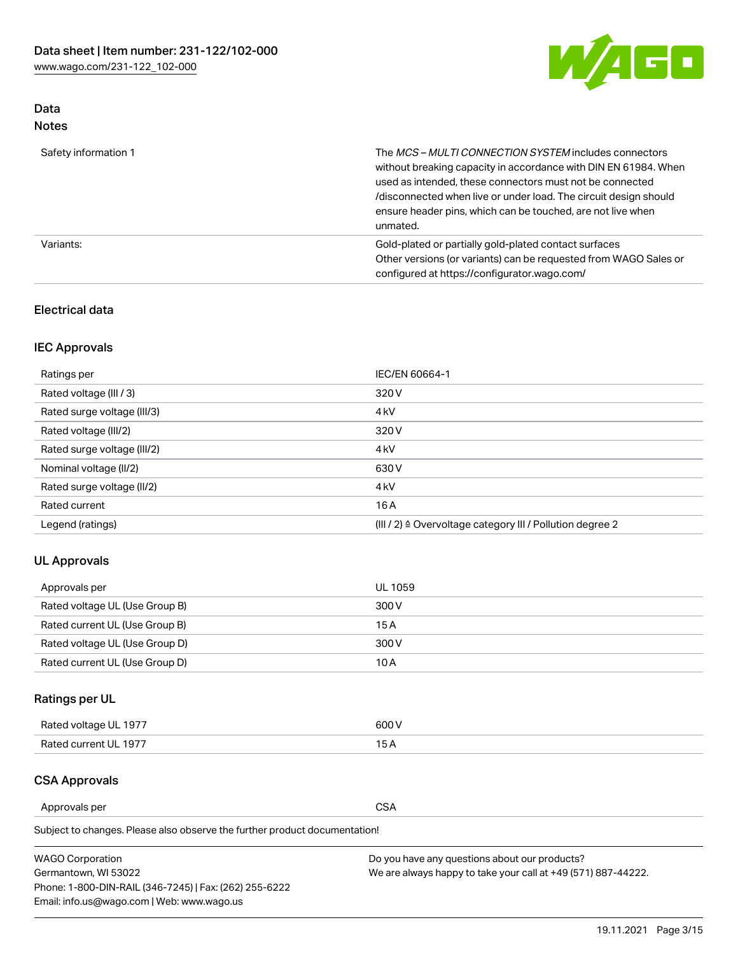

## Data Notes

| Safety information 1 | The MCS-MULTI CONNECTION SYSTEM includes connectors<br>without breaking capacity in accordance with DIN EN 61984. When<br>used as intended, these connectors must not be connected<br>/disconnected when live or under load. The circuit design should<br>ensure header pins, which can be touched, are not live when<br>unmated. |
|----------------------|-----------------------------------------------------------------------------------------------------------------------------------------------------------------------------------------------------------------------------------------------------------------------------------------------------------------------------------|
| Variants:            | Gold-plated or partially gold-plated contact surfaces<br>Other versions (or variants) can be requested from WAGO Sales or<br>configured at https://configurator.wago.com/                                                                                                                                                         |

## Electrical data

## IEC Approvals

| Ratings per                 | IEC/EN 60664-1                                                        |
|-----------------------------|-----------------------------------------------------------------------|
| Rated voltage (III / 3)     | 320 V                                                                 |
| Rated surge voltage (III/3) | 4 <sub>k</sub> V                                                      |
| Rated voltage (III/2)       | 320 V                                                                 |
| Rated surge voltage (III/2) | 4 <sub>k</sub> V                                                      |
| Nominal voltage (II/2)      | 630 V                                                                 |
| Rated surge voltage (II/2)  | 4 <sub>k</sub> V                                                      |
| Rated current               | 16A                                                                   |
| Legend (ratings)            | $(III / 2)$ $\triangle$ Overvoltage category III / Pollution degree 2 |

## UL Approvals

| Approvals per                  | UL 1059 |
|--------------------------------|---------|
| Rated voltage UL (Use Group B) | 300 V   |
| Rated current UL (Use Group B) | 15 A    |
| Rated voltage UL (Use Group D) | 300 V   |
| Rated current UL (Use Group D) | 10 A    |

## Ratings per UL

| Rated voltage UL 1977 | 300 V |
|-----------------------|-------|
| Rated current UL 1977 |       |

#### CSA Approvals

Approvals per CSA

Subject to changes. Please also observe the further product documentation!

| <b>WAGO Corporation</b>                                | Do you have any questions about our products?                 |
|--------------------------------------------------------|---------------------------------------------------------------|
| Germantown, WI 53022                                   | We are always happy to take your call at +49 (571) 887-44222. |
| Phone: 1-800-DIN-RAIL (346-7245)   Fax: (262) 255-6222 |                                                               |
| Email: info.us@wago.com   Web: www.wago.us             |                                                               |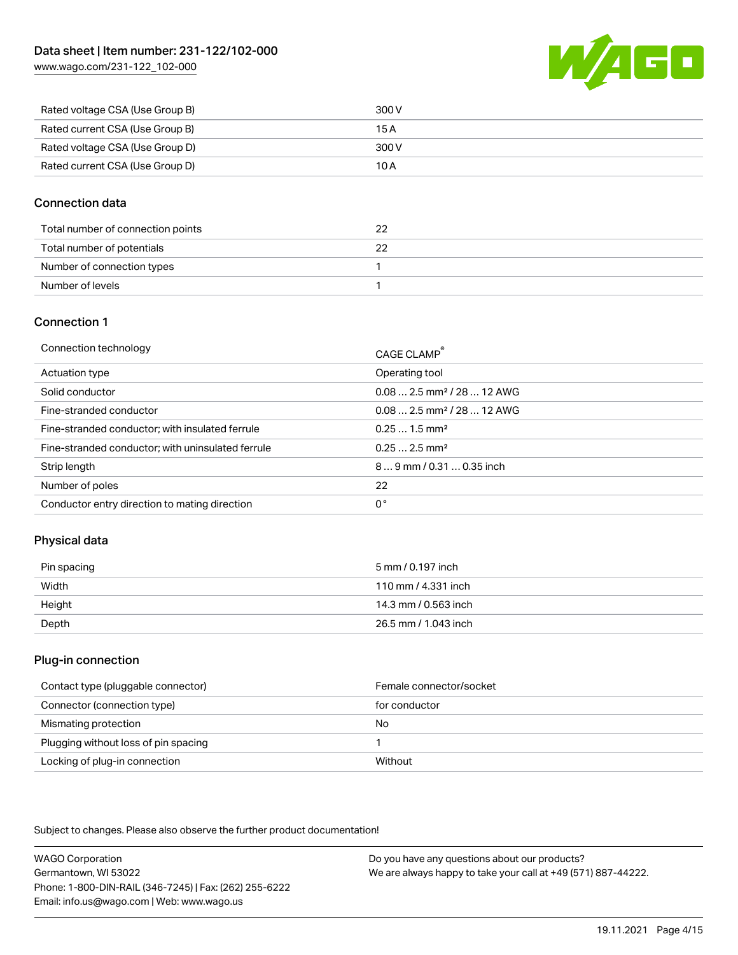[www.wago.com/231-122\\_102-000](http://www.wago.com/231-122_102-000)



| Rated voltage CSA (Use Group B) | 300 V |
|---------------------------------|-------|
| Rated current CSA (Use Group B) | 15 A  |
| Rated voltage CSA (Use Group D) | 300 V |
| Rated current CSA (Use Group D) | 10 A  |

### Connection data

| Total number of connection points |  |
|-----------------------------------|--|
| Total number of potentials        |  |
| Number of connection types        |  |
| Number of levels                  |  |

#### Connection 1

| Connection technology                             | CAGE CLAMP®                             |
|---------------------------------------------------|-----------------------------------------|
| Actuation type                                    | Operating tool                          |
| Solid conductor                                   | $0.082.5$ mm <sup>2</sup> / 28  12 AWG  |
| Fine-stranded conductor                           | $0.08$ 2.5 mm <sup>2</sup> / 28  12 AWG |
| Fine-stranded conductor; with insulated ferrule   | $0.251.5$ mm <sup>2</sup>               |
| Fine-stranded conductor; with uninsulated ferrule | $0.252.5$ mm <sup>2</sup>               |
| Strip length                                      | $89$ mm $/ 0.310.35$ inch               |
| Number of poles                                   | 22                                      |
| Conductor entry direction to mating direction     | 0°                                      |

## Physical data

| Pin spacing | 5 mm / 0.197 inch    |
|-------------|----------------------|
| Width       | 110 mm / 4.331 inch  |
| Height      | 14.3 mm / 0.563 inch |
| Depth       | 26.5 mm / 1.043 inch |

#### Plug-in connection

| Contact type (pluggable connector)   | Female connector/socket |
|--------------------------------------|-------------------------|
| Connector (connection type)          | for conductor           |
| Mismating protection                 | No                      |
| Plugging without loss of pin spacing |                         |
| Locking of plug-in connection        | Without                 |

Subject to changes. Please also observe the further product documentation!

WAGO Corporation Germantown, WI 53022 Phone: 1-800-DIN-RAIL (346-7245) | Fax: (262) 255-6222 Email: info.us@wago.com | Web: www.wago.us Do you have any questions about our products? We are always happy to take your call at +49 (571) 887-44222.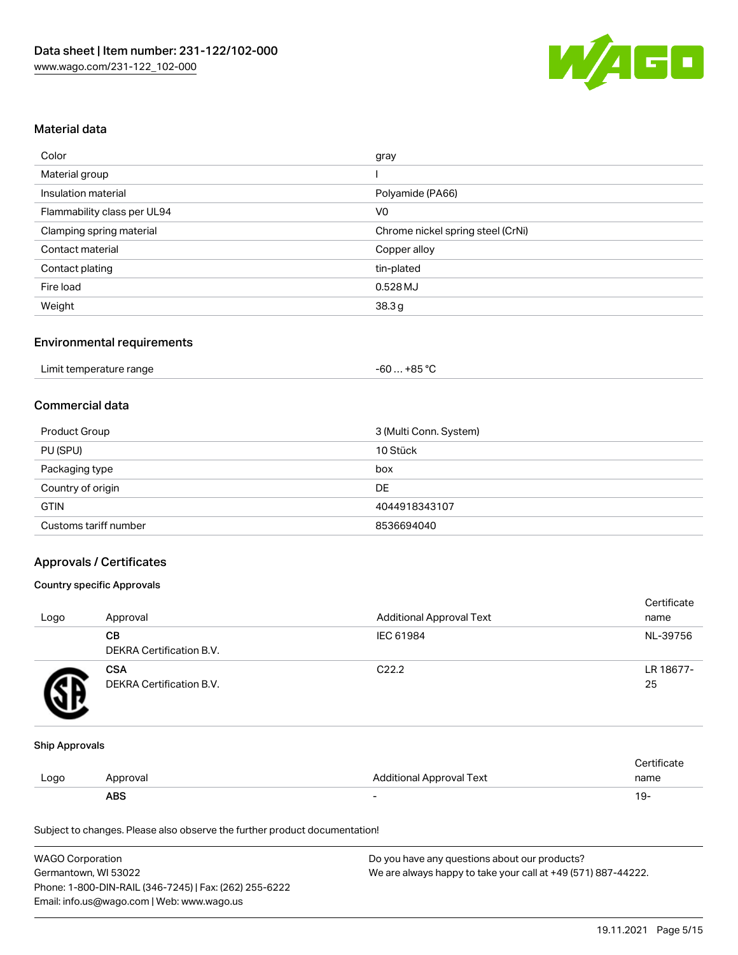

#### Material data

| Color                       | gray                              |
|-----------------------------|-----------------------------------|
| Material group              |                                   |
| Insulation material         | Polyamide (PA66)                  |
| Flammability class per UL94 | V <sub>0</sub>                    |
| Clamping spring material    | Chrome nickel spring steel (CrNi) |
| Contact material            | Copper alloy                      |
| Contact plating             | tin-plated                        |
| Fire load                   | 0.528 MJ                          |
| Weight                      | 38.3g                             |

### Environmental requirements

#### Commercial data

| Product Group         | 3 (Multi Conn. System) |
|-----------------------|------------------------|
| PU (SPU)              | 10 Stück               |
| Packaging type        | box                    |
| Country of origin     | DE                     |
| <b>GTIN</b>           | 4044918343107          |
| Customs tariff number | 8536694040             |

### Approvals / Certificates

#### Country specific Approvals

| Logo | Approval                               | <b>Additional Approval Text</b> | Certificate<br>name |
|------|----------------------------------------|---------------------------------|---------------------|
|      | CВ<br>DEKRA Certification B.V.         | IEC 61984                       | NL-39756            |
|      | <b>CSA</b><br>DEKRA Certification B.V. | C <sub>22.2</sub>               | LR 18677-<br>25     |

#### Ship Approvals

|      | ABS      |                          | - ك ا       |
|------|----------|--------------------------|-------------|
| Logo | Approval | Additional Approval Text | name        |
|      |          |                          | ∵ertificate |

Subject to changes. Please also observe the further product documentation!

| <b>WAGO Corporation</b>                                | Do you have any questions about our products?                 |
|--------------------------------------------------------|---------------------------------------------------------------|
| Germantown, WI 53022                                   | We are always happy to take your call at +49 (571) 887-44222. |
| Phone: 1-800-DIN-RAIL (346-7245)   Fax: (262) 255-6222 |                                                               |
| Email: info.us@wago.com   Web: www.wago.us             |                                                               |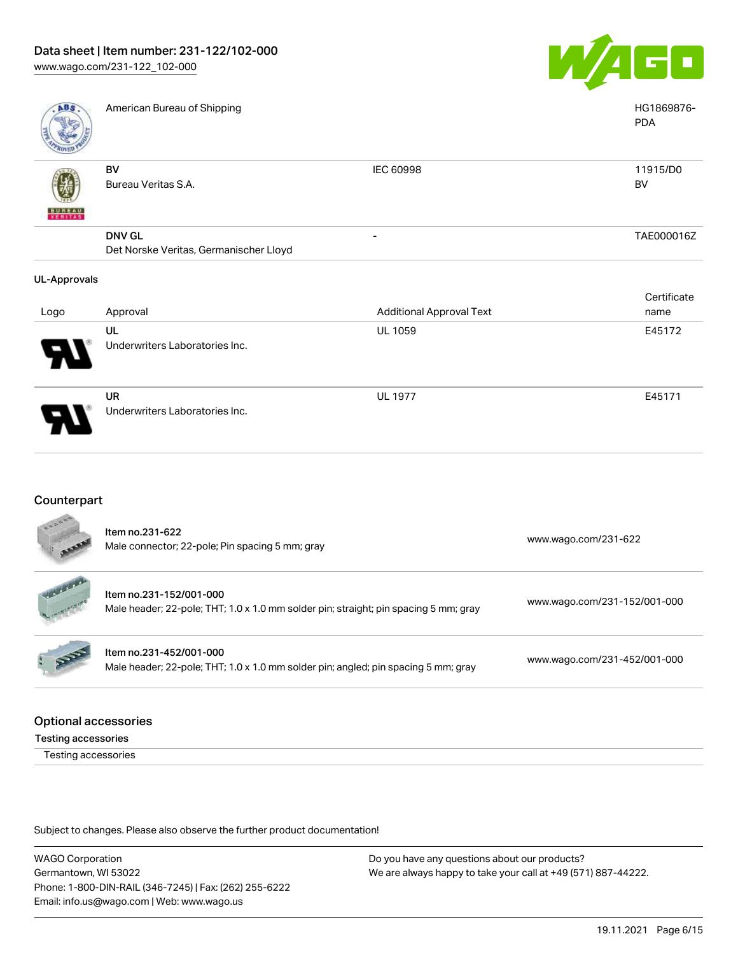

| <b>ABS</b>          | American Bureau of Shipping            |                                 | HG1869876-<br><b>PDA</b> |
|---------------------|----------------------------------------|---------------------------------|--------------------------|
|                     | BV                                     | <b>IEC 60998</b>                | 11915/D0                 |
|                     | Bureau Veritas S.A.                    |                                 | BV                       |
| <b>BUNEAU</b>       |                                        |                                 |                          |
|                     | <b>DNV GL</b>                          | -                               | TAE000016Z               |
|                     | Det Norske Veritas, Germanischer Lloyd |                                 |                          |
| <b>UL-Approvals</b> |                                        |                                 |                          |
|                     |                                        |                                 | Certificate              |
| Logo                | Approval                               | <b>Additional Approval Text</b> | name                     |
|                     | UL                                     | <b>UL 1059</b>                  | E45172                   |
|                     | Underwriters Laboratories Inc.         |                                 |                          |

UR Underwriters Laboratories Inc.

### **Counterpart**

Item no.231-622 Male connector; 22-pole; Pin spacing 5 mm; gray [www.wago.com/231-622](https://www.wago.com/231-622) www.wago.com/231-622 Item no.231-152/001-000 Male header; 22-pole; THT; 1.0 x 1.0 mm solder pin; straight; pin spacing 5 mm; gray [www.wago.com/231-152/001-000](https://www.wago.com/231-152/001-000) Item no.231-452/001-000 Male header; 22-pole; THT; 1.0 x 1.0 mm solder pin; angled; pin spacing 5 mm; gray [www.wago.com/231-452/001-000](https://www.wago.com/231-452/001-000)

#### Optional accessories

Testing accessories

Testing accessories

Subject to changes. Please also observe the further product documentation!

WAGO Corporation Germantown, WI 53022 Phone: 1-800-DIN-RAIL (346-7245) | Fax: (262) 255-6222 Email: info.us@wago.com | Web: www.wago.us

Do you have any questions about our products? We are always happy to take your call at +49 (571) 887-44222.

UL 1977 **E45171**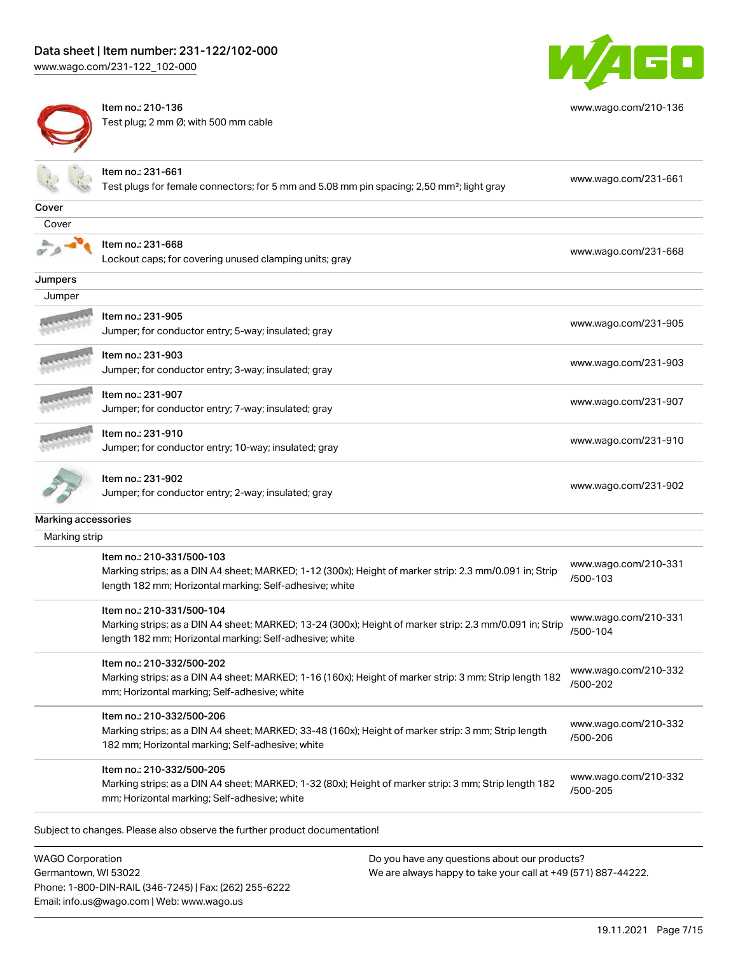[www.wago.com/231-122\\_102-000](http://www.wago.com/231-122_102-000)



Item no.: 210-136 Test plug; 2 mm Ø; with 500 mm cable



[www.wago.com/210-136](http://www.wago.com/210-136)

|                     | Item no.: 231-661<br>Test plugs for female connectors; for 5 mm and 5.08 mm pin spacing; 2,50 mm <sup>2</sup> ; light gray                                                                      | www.wago.com/231-661             |
|---------------------|-------------------------------------------------------------------------------------------------------------------------------------------------------------------------------------------------|----------------------------------|
| Cover               |                                                                                                                                                                                                 |                                  |
| Cover               |                                                                                                                                                                                                 |                                  |
|                     | Item no.: 231-668<br>Lockout caps; for covering unused clamping units; gray                                                                                                                     | www.wago.com/231-668             |
| Jumpers             |                                                                                                                                                                                                 |                                  |
| Jumper              |                                                                                                                                                                                                 |                                  |
|                     | ltem no.: 231-905<br>Jumper; for conductor entry; 5-way; insulated; gray                                                                                                                        | www.wago.com/231-905             |
|                     | Item no.: 231-903<br>Jumper; for conductor entry; 3-way; insulated; gray                                                                                                                        | www.wago.com/231-903             |
|                     | ltem no.: 231-907<br>Jumper; for conductor entry; 7-way; insulated; gray                                                                                                                        | www.wago.com/231-907             |
|                     | Item no.: 231-910<br>Jumper; for conductor entry; 10-way; insulated; gray                                                                                                                       | www.wago.com/231-910             |
|                     | Item no.: 231-902<br>Jumper; for conductor entry; 2-way; insulated; gray                                                                                                                        | www.wago.com/231-902             |
| Marking accessories |                                                                                                                                                                                                 |                                  |
| Marking strip       |                                                                                                                                                                                                 |                                  |
|                     | Item no.: 210-331/500-103<br>Marking strips; as a DIN A4 sheet; MARKED; 1-12 (300x); Height of marker strip: 2.3 mm/0.091 in; Strip<br>length 182 mm; Horizontal marking; Self-adhesive; white  | www.wago.com/210-331<br>/500-103 |
|                     | Item no.: 210-331/500-104<br>Marking strips; as a DIN A4 sheet; MARKED; 13-24 (300x); Height of marker strip: 2.3 mm/0.091 in; Strip<br>length 182 mm; Horizontal marking; Self-adhesive; white | www.wago.com/210-331<br>/500-104 |
|                     | Item no.: 210-332/500-202<br>Marking strips; as a DIN A4 sheet; MARKED; 1-16 (160x); Height of marker strip: 3 mm; Strip length 182<br>mm; Horizontal marking; Self-adhesive; white             | www.wago.com/210-332<br>/500-202 |
|                     | Item no.: 210-332/500-206<br>Marking strips; as a DIN A4 sheet; MARKED; 33-48 (160x); Height of marker strip: 3 mm; Strip length<br>182 mm; Horizontal marking; Self-adhesive; white            | www.wago.com/210-332<br>/500-206 |
|                     | Item no.: 210-332/500-205<br>Marking strips; as a DIN A4 sheet; MARKED; 1-32 (80x); Height of marker strip: 3 mm; Strip length 182<br>mm; Horizontal marking; Self-adhesive; white              | www.wago.com/210-332<br>/500-205 |

Subject to changes. Please also observe the further product documentation!

WAGO Corporation Germantown, WI 53022 Phone: 1-800-DIN-RAIL (346-7245) | Fax: (262) 255-6222 Email: info.us@wago.com | Web: www.wago.us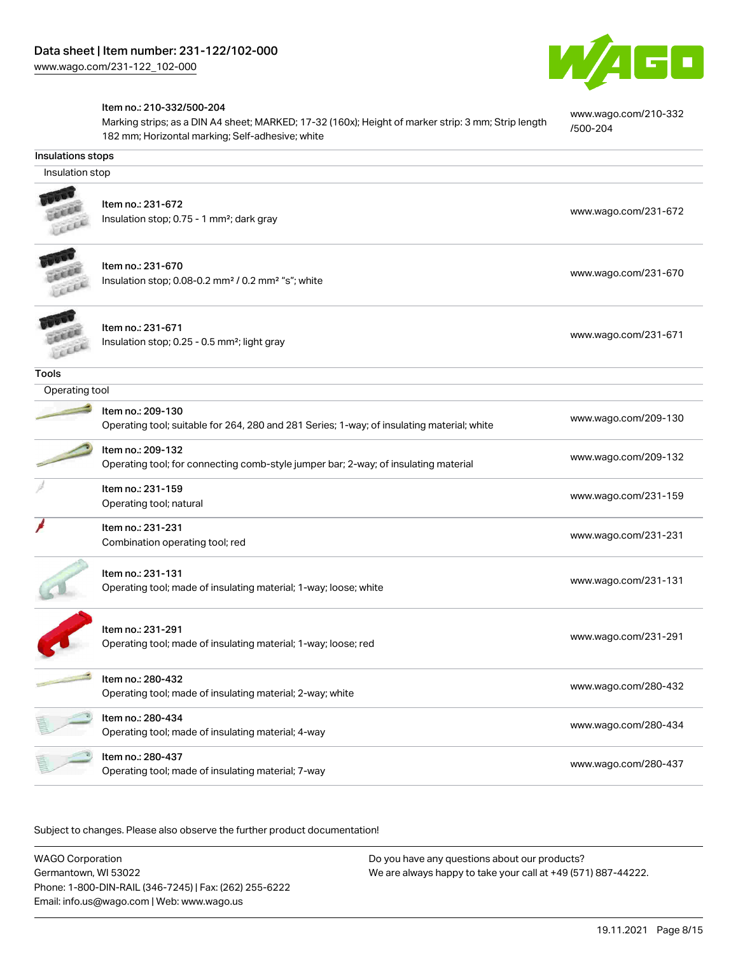

[www.wago.com/210-332](http://www.wago.com/210-332/500-204)

[/500-204](http://www.wago.com/210-332/500-204)

#### Item no.: 210-332/500-204

Marking strips; as a DIN A4 sheet; MARKED; 17-32 (160x); Height of marker strip: 3 mm; Strip length 182 mm; Horizontal marking; Self-adhesive; white

| <b>Insulations stops</b> |                                                                                                                 |                      |  |  |  |
|--------------------------|-----------------------------------------------------------------------------------------------------------------|----------------------|--|--|--|
|                          | Insulation stop                                                                                                 |                      |  |  |  |
|                          | Item no.: 231-672<br>Insulation stop; 0.75 - 1 mm <sup>2</sup> ; dark gray                                      | www.wago.com/231-672 |  |  |  |
|                          | Item no.: 231-670<br>Insulation stop; 0.08-0.2 mm <sup>2</sup> / 0.2 mm <sup>2</sup> "s"; white                 | www.wago.com/231-670 |  |  |  |
|                          | Item no.: 231-671<br>Insulation stop; 0.25 - 0.5 mm <sup>2</sup> ; light gray                                   | www.wago.com/231-671 |  |  |  |
| <b>Tools</b>             |                                                                                                                 |                      |  |  |  |
| Operating tool           |                                                                                                                 |                      |  |  |  |
|                          | Item no.: 209-130<br>Operating tool; suitable for 264, 280 and 281 Series; 1-way; of insulating material; white | www.wago.com/209-130 |  |  |  |
|                          | Item no.: 209-132<br>Operating tool; for connecting comb-style jumper bar; 2-way; of insulating material        | www.wago.com/209-132 |  |  |  |
|                          | Item no.: 231-159<br>Operating tool; natural                                                                    | www.wago.com/231-159 |  |  |  |
|                          | Item no.: 231-231<br>Combination operating tool; red                                                            | www.wago.com/231-231 |  |  |  |
|                          | Item no.: 231-131<br>Operating tool; made of insulating material; 1-way; loose; white                           | www.wago.com/231-131 |  |  |  |
|                          | Item no.: 231-291<br>Operating tool; made of insulating material; 1-way; loose; red                             | www.wago.com/231-291 |  |  |  |
|                          | Item no.: 280-432<br>Operating tool; made of insulating material; 2-way; white                                  | www.wago.com/280-432 |  |  |  |
|                          | Item no.: 280-434<br>Operating tool; made of insulating material; 4-way                                         | www.wago.com/280-434 |  |  |  |
|                          | Item no.: 280-437<br>Operating tool; made of insulating material; 7-way                                         | www.wago.com/280-437 |  |  |  |

Subject to changes. Please also observe the further product documentation!

WAGO Corporation Germantown, WI 53022 Phone: 1-800-DIN-RAIL (346-7245) | Fax: (262) 255-6222 Email: info.us@wago.com | Web: www.wago.us Do you have any questions about our products? We are always happy to take your call at +49 (571) 887-44222.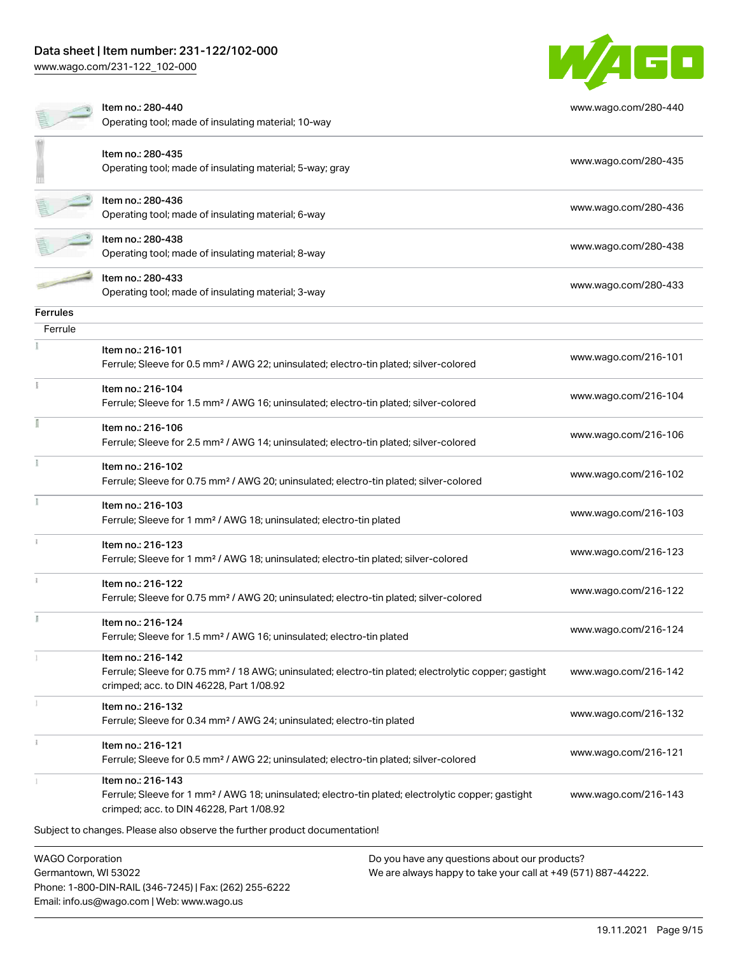## Data sheet | Item number: 231-122/102-000

[www.wago.com/231-122\\_102-000](http://www.wago.com/231-122_102-000)



|                                                | Item no.: 280-440<br>Operating tool; made of insulating material; 10-way                                                                                                           |                                                                                                               | www.wago.com/280-440 |
|------------------------------------------------|------------------------------------------------------------------------------------------------------------------------------------------------------------------------------------|---------------------------------------------------------------------------------------------------------------|----------------------|
|                                                | Item no.: 280-435<br>Operating tool; made of insulating material; 5-way; gray                                                                                                      |                                                                                                               | www.wago.com/280-435 |
|                                                | Item no.: 280-436<br>Operating tool; made of insulating material; 6-way                                                                                                            |                                                                                                               | www.wago.com/280-436 |
|                                                | Item no.: 280-438<br>Operating tool; made of insulating material; 8-way                                                                                                            |                                                                                                               | www.wago.com/280-438 |
|                                                | Item no.: 280-433<br>Operating tool; made of insulating material; 3-way                                                                                                            |                                                                                                               | www.wago.com/280-433 |
| <b>Ferrules</b>                                |                                                                                                                                                                                    |                                                                                                               |                      |
| Ferrule                                        |                                                                                                                                                                                    |                                                                                                               |                      |
|                                                | Item no.: 216-101<br>Ferrule; Sleeve for 0.5 mm <sup>2</sup> / AWG 22; uninsulated; electro-tin plated; silver-colored                                                             |                                                                                                               | www.wago.com/216-101 |
|                                                | Item no.: 216-104<br>Ferrule; Sleeve for 1.5 mm <sup>2</sup> / AWG 16; uninsulated; electro-tin plated; silver-colored                                                             |                                                                                                               | www.wago.com/216-104 |
|                                                | Item no.: 216-106<br>Ferrule; Sleeve for 2.5 mm <sup>2</sup> / AWG 14; uninsulated; electro-tin plated; silver-colored                                                             |                                                                                                               | www.wago.com/216-106 |
|                                                | Item no.: 216-102<br>Ferrule; Sleeve for 0.75 mm <sup>2</sup> / AWG 20; uninsulated; electro-tin plated; silver-colored                                                            |                                                                                                               | www.wago.com/216-102 |
|                                                | Item no.: 216-103<br>Ferrule; Sleeve for 1 mm <sup>2</sup> / AWG 18; uninsulated; electro-tin plated                                                                               |                                                                                                               | www.wago.com/216-103 |
|                                                | Item no.: 216-123<br>Ferrule; Sleeve for 1 mm <sup>2</sup> / AWG 18; uninsulated; electro-tin plated; silver-colored                                                               |                                                                                                               | www.wago.com/216-123 |
|                                                | Item no.: 216-122<br>Ferrule; Sleeve for 0.75 mm <sup>2</sup> / AWG 20; uninsulated; electro-tin plated; silver-colored                                                            |                                                                                                               | www.wago.com/216-122 |
| I.                                             | Item no.: 216-124<br>Ferrule; Sleeve for 1.5 mm <sup>2</sup> / AWG 16; uninsulated; electro-tin plated                                                                             |                                                                                                               | www.wago.com/216-124 |
|                                                | Item no.: 216-142<br>Ferrule; Sleeve for 0.75 mm <sup>2</sup> / 18 AWG; uninsulated; electro-tin plated; electrolytic copper; gastight<br>crimped; acc. to DIN 46228, Part 1/08.92 |                                                                                                               | www.wago.com/216-142 |
|                                                | Item no.: 216-132<br>Ferrule; Sleeve for 0.34 mm <sup>2</sup> / AWG 24; uninsulated; electro-tin plated                                                                            |                                                                                                               | www.wago.com/216-132 |
|                                                | Item no.: 216-121<br>Ferrule; Sleeve for 0.5 mm <sup>2</sup> / AWG 22; uninsulated; electro-tin plated; silver-colored                                                             |                                                                                                               | www.wago.com/216-121 |
|                                                | Item no.: 216-143<br>Ferrule; Sleeve for 1 mm <sup>2</sup> / AWG 18; uninsulated; electro-tin plated; electrolytic copper; gastight<br>crimped; acc. to DIN 46228, Part 1/08.92    |                                                                                                               | www.wago.com/216-143 |
|                                                | Subject to changes. Please also observe the further product documentation!                                                                                                         |                                                                                                               |                      |
| <b>WAGO Corporation</b><br>Germantown WI 53022 |                                                                                                                                                                                    | Do you have any questions about our products?<br>Me are always hanny to take your call at +49 (571) 887-44222 |                      |

mantown, WI 53022 Phone: 1-800-DIN-RAIL (346-7245) | Fax: (262) 255-6222 Email: info.us@wago.com | Web: www.wago.us

We are always happy to take your call at +49 (571) 887-44222.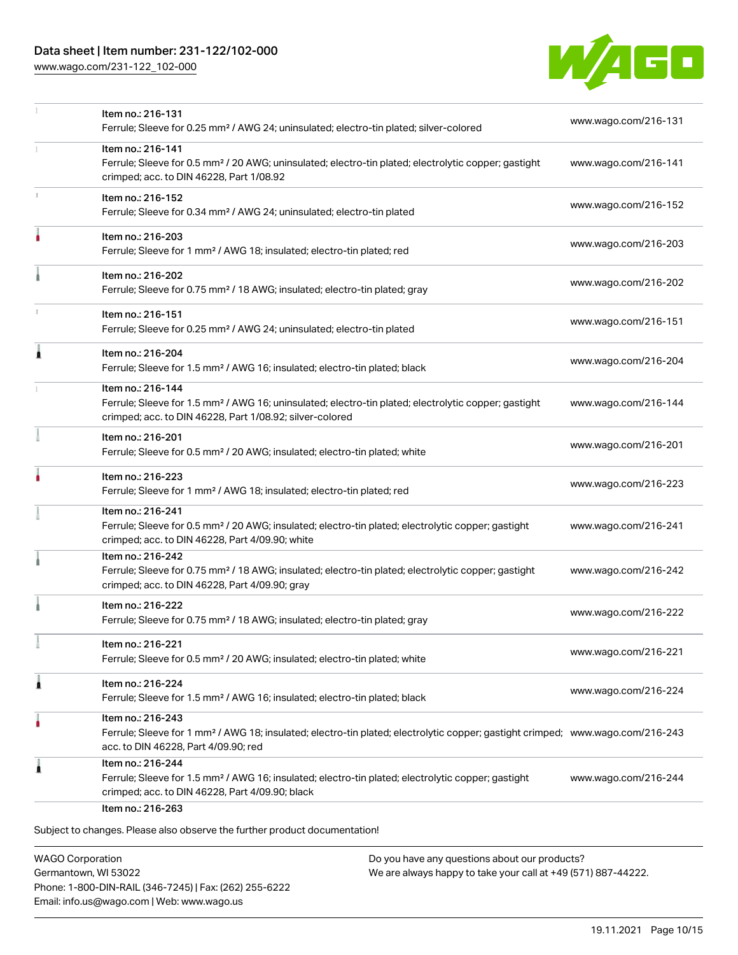[www.wago.com/231-122\\_102-000](http://www.wago.com/231-122_102-000)



|   | Item no.: 216-131<br>Ferrule; Sleeve for 0.25 mm <sup>2</sup> / AWG 24; uninsulated; electro-tin plated; silver-colored                                                                                 | www.wago.com/216-131 |
|---|---------------------------------------------------------------------------------------------------------------------------------------------------------------------------------------------------------|----------------------|
|   | Item no.: 216-141<br>Ferrule; Sleeve for 0.5 mm <sup>2</sup> / 20 AWG; uninsulated; electro-tin plated; electrolytic copper; gastight<br>crimped; acc. to DIN 46228, Part 1/08.92                       | www.wago.com/216-141 |
|   | Item no.: 216-152<br>Ferrule; Sleeve for 0.34 mm <sup>2</sup> / AWG 24; uninsulated; electro-tin plated                                                                                                 | www.wago.com/216-152 |
| ۸ | Item no.: 216-203<br>Ferrule; Sleeve for 1 mm <sup>2</sup> / AWG 18; insulated; electro-tin plated; red                                                                                                 | www.wago.com/216-203 |
|   | Item no.: 216-202<br>Ferrule; Sleeve for 0.75 mm <sup>2</sup> / 18 AWG; insulated; electro-tin plated; gray                                                                                             | www.wago.com/216-202 |
| т | Item no.: 216-151<br>Ferrule; Sleeve for 0.25 mm <sup>2</sup> / AWG 24; uninsulated; electro-tin plated                                                                                                 | www.wago.com/216-151 |
| 1 | Item no.: 216-204<br>Ferrule; Sleeve for 1.5 mm <sup>2</sup> / AWG 16; insulated; electro-tin plated; black                                                                                             | www.wago.com/216-204 |
|   | Item no.: 216-144<br>Ferrule; Sleeve for 1.5 mm <sup>2</sup> / AWG 16; uninsulated; electro-tin plated; electrolytic copper; gastight<br>crimped; acc. to DIN 46228, Part 1/08.92; silver-colored       | www.wago.com/216-144 |
|   | Item no.: 216-201<br>Ferrule; Sleeve for 0.5 mm <sup>2</sup> / 20 AWG; insulated; electro-tin plated; white                                                                                             | www.wago.com/216-201 |
|   | Item no.: 216-223<br>Ferrule; Sleeve for 1 mm <sup>2</sup> / AWG 18; insulated; electro-tin plated; red                                                                                                 | www.wago.com/216-223 |
|   | Item no.: 216-241<br>Ferrule; Sleeve for 0.5 mm <sup>2</sup> / 20 AWG; insulated; electro-tin plated; electrolytic copper; gastight<br>crimped; acc. to DIN 46228, Part 4/09.90; white                  | www.wago.com/216-241 |
|   | Item no.: 216-242<br>Ferrule; Sleeve for 0.75 mm <sup>2</sup> / 18 AWG; insulated; electro-tin plated; electrolytic copper; gastight<br>crimped; acc. to DIN 46228, Part 4/09.90; gray                  | www.wago.com/216-242 |
|   | Item no.: 216-222<br>Ferrule; Sleeve for 0.75 mm <sup>2</sup> / 18 AWG; insulated; electro-tin plated; gray                                                                                             | www.wago.com/216-222 |
|   | Item no.: 216-221<br>Ferrule; Sleeve for 0.5 mm <sup>2</sup> / 20 AWG; insulated; electro-tin plated; white                                                                                             | www.wago.com/216-221 |
| 1 | Item no.: 216-224<br>Ferrule; Sleeve for 1.5 mm <sup>2</sup> / AWG 16; insulated; electro-tin plated; black                                                                                             | www.wago.com/216-224 |
| ٠ | Item no.: 216-243<br>Ferrule; Sleeve for 1 mm <sup>2</sup> / AWG 18; insulated; electro-tin plated; electrolytic copper; gastight crimped; www.wago.com/216-243<br>acc. to DIN 46228, Part 4/09.90; red |                      |
| 1 | Item no.: 216-244<br>Ferrule; Sleeve for 1.5 mm <sup>2</sup> / AWG 16; insulated; electro-tin plated; electrolytic copper; gastight<br>crimped; acc. to DIN 46228, Part 4/09.90; black                  | www.wago.com/216-244 |

WAGO Corporation Germantown, WI 53022 Phone: 1-800-DIN-RAIL (346-7245) | Fax: (262) 255-6222 Email: info.us@wago.com | Web: www.wago.us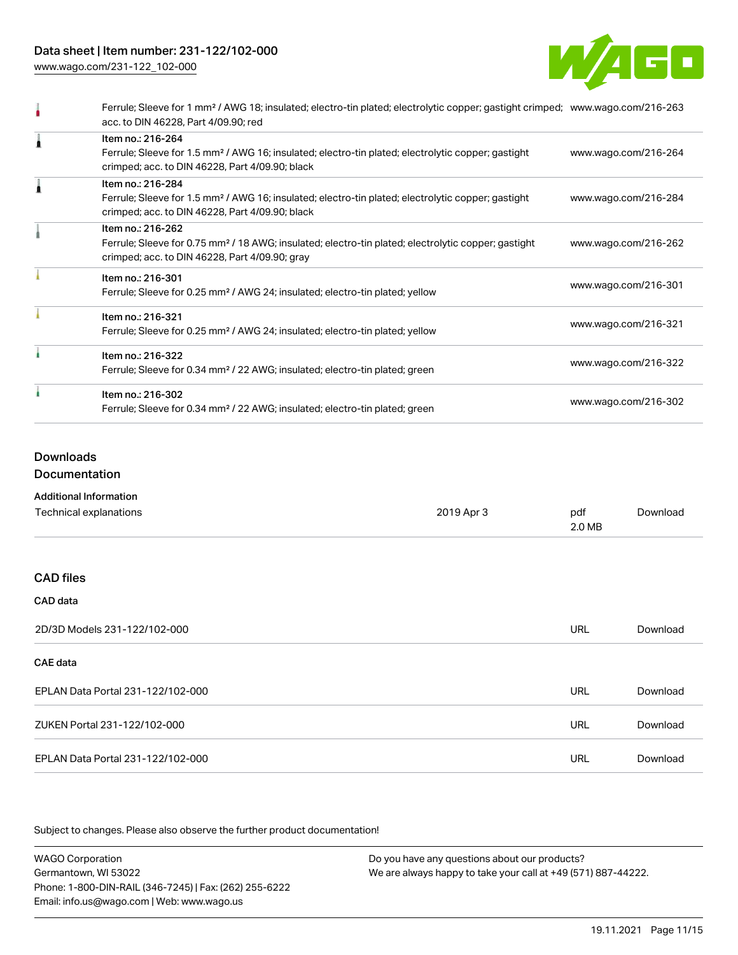## Data sheet | Item number: 231-122/102-000

[www.wago.com/231-122\\_102-000](http://www.wago.com/231-122_102-000)



| Ferrule; Sleeve for 1 mm <sup>2</sup> / AWG 18; insulated; electro-tin plated; electrolytic copper; gastight crimped; www.wago.com/216-263<br>acc. to DIN 46228, Part 4/09.90; red     |                      |
|----------------------------------------------------------------------------------------------------------------------------------------------------------------------------------------|----------------------|
| Item no.: 216-264<br>Ferrule; Sleeve for 1.5 mm <sup>2</sup> / AWG 16; insulated; electro-tin plated; electrolytic copper; gastight<br>crimped; acc. to DIN 46228, Part 4/09.90; black | www.wago.com/216-264 |
| Item no.: 216-284<br>Ferrule; Sleeve for 1.5 mm <sup>2</sup> / AWG 16; insulated; electro-tin plated; electrolytic copper; gastight<br>crimped; acc. to DIN 46228, Part 4/09.90; black | www.wago.com/216-284 |
| Item no.: 216-262<br>Ferrule; Sleeve for 0.75 mm <sup>2</sup> / 18 AWG; insulated; electro-tin plated; electrolytic copper; gastight<br>crimped; acc. to DIN 46228, Part 4/09.90; gray | www.wago.com/216-262 |
| Item no.: 216-301<br>Ferrule; Sleeve for 0.25 mm <sup>2</sup> / AWG 24; insulated; electro-tin plated; yellow                                                                          | www.wago.com/216-301 |
| Item no.: 216-321<br>Ferrule; Sleeve for 0.25 mm <sup>2</sup> / AWG 24; insulated; electro-tin plated; yellow                                                                          | www.wago.com/216-321 |
| Item no.: 216-322<br>Ferrule; Sleeve for 0.34 mm <sup>2</sup> / 22 AWG; insulated; electro-tin plated; green                                                                           | www.wago.com/216-322 |
| Item no.: 216-302<br>Ferrule; Sleeve for 0.34 mm <sup>2</sup> / 22 AWG; insulated; electro-tin plated; green                                                                           | www.wago.com/216-302 |

## Downloads

Documentation

| <b>Additional Information</b>     |            |               |          |
|-----------------------------------|------------|---------------|----------|
| Technical explanations            | 2019 Apr 3 | pdf<br>2.0 MB | Download |
| <b>CAD files</b>                  |            |               |          |
| CAD data                          |            |               |          |
| 2D/3D Models 231-122/102-000      |            | <b>URL</b>    | Download |
| CAE data                          |            |               |          |
| EPLAN Data Portal 231-122/102-000 |            | <b>URL</b>    | Download |
| ZUKEN Portal 231-122/102-000      |            | <b>URL</b>    | Download |

EPLAN Data Portal 231-122/102-000 URL [Download](https://www.wago.com/global/d/EPLAN_URLS_231-122_102-000)

Subject to changes. Please also observe the further product documentation!

WAGO Corporation Germantown, WI 53022 Phone: 1-800-DIN-RAIL (346-7245) | Fax: (262) 255-6222 Email: info.us@wago.com | Web: www.wago.us Do you have any questions about our products? We are always happy to take your call at +49 (571) 887-44222.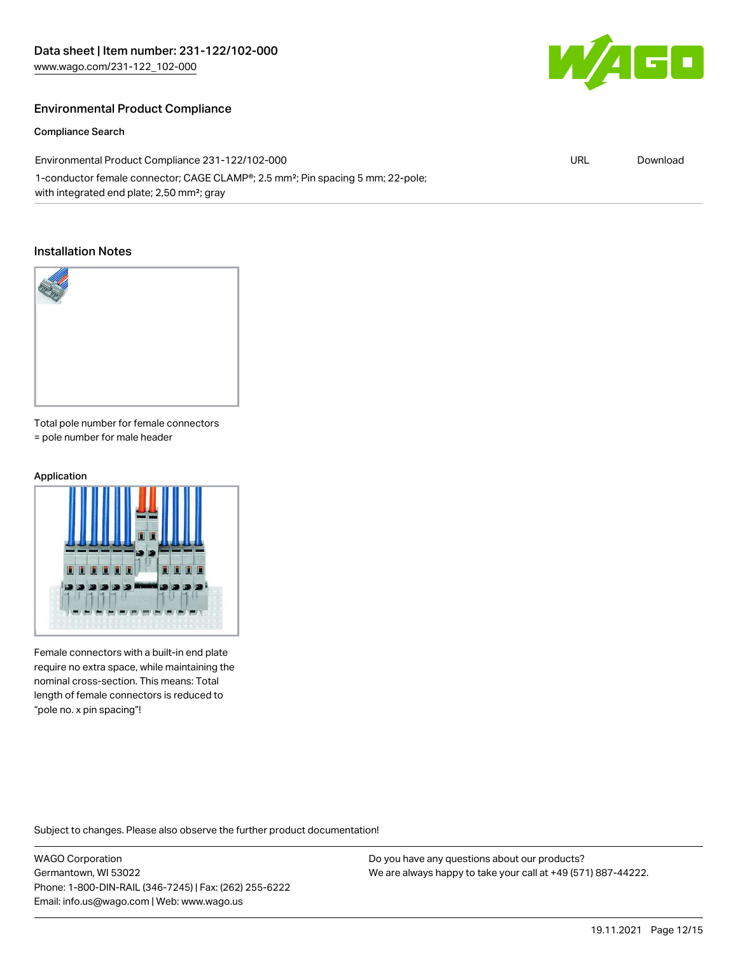

#### Compliance Search

60

| Environmental Product Compliance 231-122/102-000                                                         | URL | Download |
|----------------------------------------------------------------------------------------------------------|-----|----------|
| 1-conductor female connector; CAGE CLAMP <sup>®</sup> ; 2.5 mm <sup>2</sup> ; Pin spacing 5 mm; 22-pole; |     |          |
| with integrated end plate; 2,50 mm <sup>2</sup> ; gray                                                   |     |          |

#### Installation Notes



Total pole number for female connectors = pole number for male header

## Application



Female connectors with a built-in end plate require no extra space, while maintaining the nominal cross-section. This means: Total length of female connectors is reduced to "pole no. x pin spacing"!

Subject to changes. Please also observe the further product documentation!

WAGO Corporation Germantown, WI 53022 Phone: 1-800-DIN-RAIL (346-7245) | Fax: (262) 255-6222 Email: info.us@wago.com | Web: www.wago.us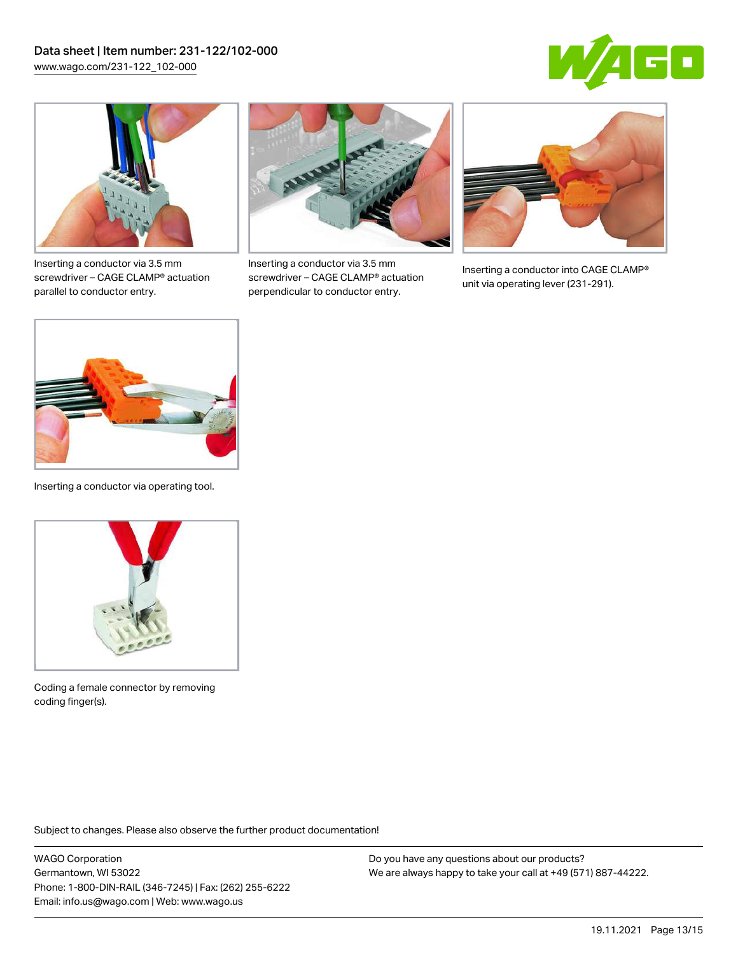



Inserting a conductor via 3.5 mm screwdriver – CAGE CLAMP® actuation parallel to conductor entry.



Inserting a conductor via 3.5 mm screwdriver – CAGE CLAMP® actuation perpendicular to conductor entry.



Inserting a conductor into CAGE CLAMP® unit via operating lever (231-291).



Inserting a conductor via operating tool.



Coding a female connector by removing coding finger(s).

Subject to changes. Please also observe the further product documentation!

WAGO Corporation Germantown, WI 53022 Phone: 1-800-DIN-RAIL (346-7245) | Fax: (262) 255-6222 Email: info.us@wago.com | Web: www.wago.us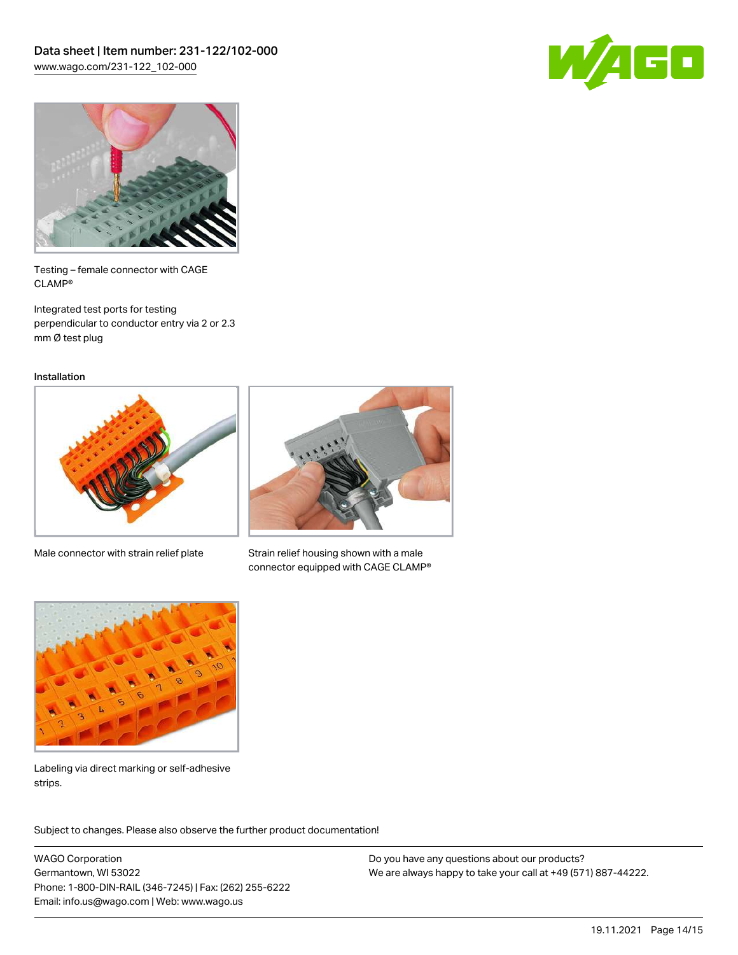



Testing – female connector with CAGE CLAMP®

Integrated test ports for testing perpendicular to conductor entry via 2 or 2.3 mm Ø test plug

Installation



Male connector with strain relief plate



Strain relief housing shown with a male connector equipped with CAGE CLAMP®



Labeling via direct marking or self-adhesive strips.

Subject to changes. Please also observe the further product documentation! Product family

WAGO Corporation Germantown, WI 53022 Phone: 1-800-DIN-RAIL (346-7245) | Fax: (262) 255-6222 Email: info.us@wago.com | Web: www.wago.us